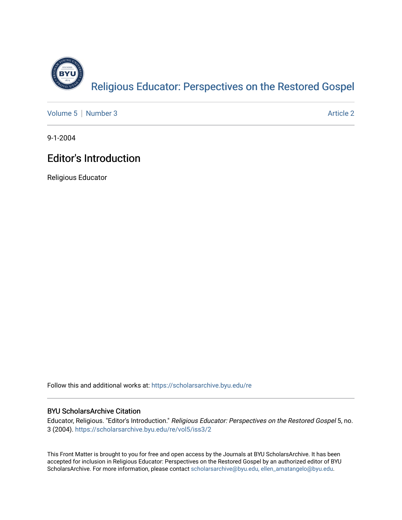

[Volume 5](https://scholarsarchive.byu.edu/re/vol5) | [Number 3](https://scholarsarchive.byu.edu/re/vol5/iss3) Article 2

9-1-2004

## **Editor's Introduction**

Religious Educator

Follow this and additional works at: [https://scholarsarchive.byu.edu/re](https://scholarsarchive.byu.edu/re?utm_source=scholarsarchive.byu.edu%2Fre%2Fvol5%2Fiss3%2F2&utm_medium=PDF&utm_campaign=PDFCoverPages)

## BYU ScholarsArchive Citation

Educator, Religious. "Editor's Introduction." Religious Educator: Perspectives on the Restored Gospel 5, no. 3 (2004). [https://scholarsarchive.byu.edu/re/vol5/iss3/2](https://scholarsarchive.byu.edu/re/vol5/iss3/2?utm_source=scholarsarchive.byu.edu%2Fre%2Fvol5%2Fiss3%2F2&utm_medium=PDF&utm_campaign=PDFCoverPages) 

This Front Matter is brought to you for free and open access by the Journals at BYU ScholarsArchive. It has been accepted for inclusion in Religious Educator: Perspectives on the Restored Gospel by an authorized editor of BYU ScholarsArchive. For more information, please contact [scholarsarchive@byu.edu, ellen\\_amatangelo@byu.edu.](mailto:scholarsarchive@byu.edu,%20ellen_amatangelo@byu.edu)